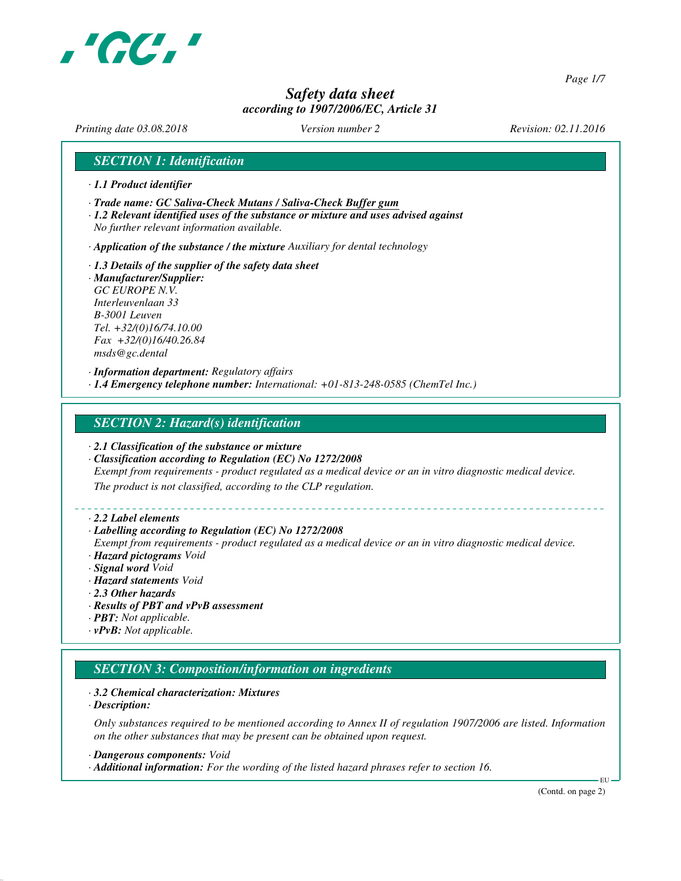

*Page 1/7*

# *Safety data sheet according to 1907/2006/EC, Article 31*

*Printing date 03.08.2018 Version number 2 Revision: 02.11.2016*

## *SECTION 1: Identification*

- *· 1.1 Product identifier*
- *· Trade name: GC Saliva-Check Mutans / Saliva-Check Buffer gum*
- *· 1.2 Relevant identified uses of the substance or mixture and uses advised against No further relevant information available.*

*· Application of the substance / the mixture Auxiliary for dental technology*

*· 1.3 Details of the supplier of the safety data sheet · Manufacturer/Supplier: GC EUROPE N.V. Interleuvenlaan 33 B-3001 Leuven Tel. +32/(0)16/74.10.00 Fax +32/(0)16/40.26.84 msds@gc.dental*

*· Information department: Regulatory affairs · 1.4 Emergency telephone number: International: +01-813-248-0585 (ChemTel Inc.)*

#### *SECTION 2: Hazard(s) identification*

- *· 2.1 Classification of the substance or mixture*
- *· Classification according to Regulation (EC) No 1272/2008*

*Exempt from requirements - product regulated as a medical device or an in vitro diagnostic medical device.*

*The product is not classified, according to the CLP regulation.*

#### *· 2.2 Label elements*

#### *· Labelling according to Regulation (EC) No 1272/2008*

*Exempt from requirements - product regulated as a medical device or an in vitro diagnostic medical device. · Hazard pictograms Void*

- *· Signal word Void*
- *· Hazard statements Void*
- *· 2.3 Other hazards*
- *· Results of PBT and vPvB assessment*
- *· PBT: Not applicable.*
- *· vPvB: Not applicable.*

# *SECTION 3: Composition/information on ingredients*

#### *· 3.2 Chemical characterization: Mixtures*

*· Description:*

*Only substances required to be mentioned according to Annex II of regulation 1907/2006 are listed. Information on the other substances that may be present can be obtained upon request.*

*· Dangerous components: Void*

*· Additional information: For the wording of the listed hazard phrases refer to section 16.*

(Contd. on page 2)

EU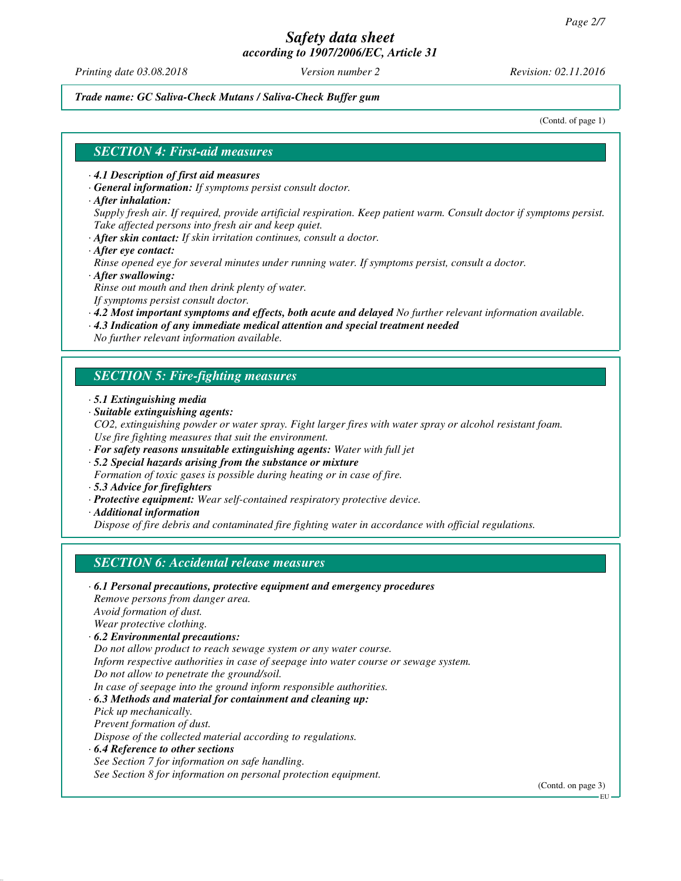*Printing date 03.08.2018 Version number 2 Revision: 02.11.2016*

*Trade name: GC Saliva-Check Mutans / Saliva-Check Buffer gum*

(Contd. of page 1)

#### *SECTION 4: First-aid measures*

- *· 4.1 Description of first aid measures*
- *· General information: If symptoms persist consult doctor.*
- *· After inhalation:*
- *Supply fresh air. If required, provide artificial respiration. Keep patient warm. Consult doctor if symptoms persist. Take affected persons into fresh air and keep quiet.*
- *· After skin contact: If skin irritation continues, consult a doctor.*
- *· After eye contact:*

*Rinse opened eye for several minutes under running water. If symptoms persist, consult a doctor. · After swallowing:*

*Rinse out mouth and then drink plenty of water.*

*If symptoms persist consult doctor.*

- *· 4.2 Most important symptoms and effects, both acute and delayed No further relevant information available.*
- *· 4.3 Indication of any immediate medical attention and special treatment needed*

*No further relevant information available.*

#### *SECTION 5: Fire-fighting measures*

- *· 5.1 Extinguishing media*
- *· Suitable extinguishing agents:*
- *CO2, extinguishing powder or water spray. Fight larger fires with water spray or alcohol resistant foam. Use fire fighting measures that suit the environment.*
- *· For safety reasons unsuitable extinguishing agents: Water with full jet*
- *· 5.2 Special hazards arising from the substance or mixture*
- *Formation of toxic gases is possible during heating or in case of fire.*
- *· 5.3 Advice for firefighters*
- *· Protective equipment: Wear self-contained respiratory protective device.*
- *· Additional information*

*Dispose of fire debris and contaminated fire fighting water in accordance with official regulations.*

#### *SECTION 6: Accidental release measures*

*· 6.1 Personal precautions, protective equipment and emergency procedures Remove persons from danger area. Avoid formation of dust. Wear protective clothing. · 6.2 Environmental precautions: Do not allow product to reach sewage system or any water course. Inform respective authorities in case of seepage into water course or sewage system. Do not allow to penetrate the ground/soil. In case of seepage into the ground inform responsible authorities. · 6.3 Methods and material for containment and cleaning up: Pick up mechanically. Prevent formation of dust. Dispose of the collected material according to regulations. · 6.4 Reference to other sections See Section 7 for information on safe handling.*

*See Section 8 for information on personal protection equipment.*

(Contd. on page 3)

EU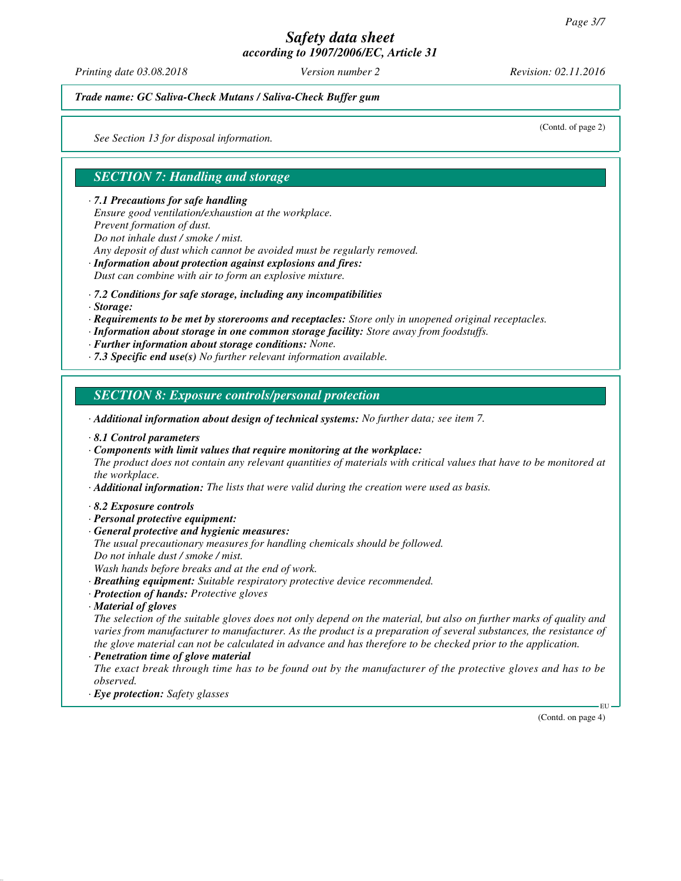*Printing date 03.08.2018 Version number 2 Revision: 02.11.2016*

*Trade name: GC Saliva-Check Mutans / Saliva-Check Buffer gum*

*See Section 13 for disposal information.*

(Contd. of page 2)

# *SECTION 7: Handling and storage*

*· 7.1 Precautions for safe handling*

*Ensure good ventilation/exhaustion at the workplace.*

*Prevent formation of dust.*

*Do not inhale dust / smoke / mist.*

*Any deposit of dust which cannot be avoided must be regularly removed.*

- *· Information about protection against explosions and fires: Dust can combine with air to form an explosive mixture.*
- *· 7.2 Conditions for safe storage, including any incompatibilities*
- *· Storage:*
- *· Requirements to be met by storerooms and receptacles: Store only in unopened original receptacles.*
- *· Information about storage in one common storage facility: Store away from foodstuffs.*
- *· Further information about storage conditions: None.*
- *· 7.3 Specific end use(s) No further relevant information available.*

## *SECTION 8: Exposure controls/personal protection*

- *· Additional information about design of technical systems: No further data; see item 7.*
- *· 8.1 Control parameters*
- *· Components with limit values that require monitoring at the workplace:*

*The product does not contain any relevant quantities of materials with critical values that have to be monitored at the workplace.*

- *· Additional information: The lists that were valid during the creation were used as basis.*
- *· 8.2 Exposure controls*
- *· Personal protective equipment:*
- *· General protective and hygienic measures:*
- *The usual precautionary measures for handling chemicals should be followed. Do not inhale dust / smoke / mist.*
- *Wash hands before breaks and at the end of work.*
- *· Breathing equipment: Suitable respiratory protective device recommended.*
- *· Protection of hands: Protective gloves*
- *· Material of gloves*

*The selection of the suitable gloves does not only depend on the material, but also on further marks of quality and varies from manufacturer to manufacturer. As the product is a preparation of several substances, the resistance of the glove material can not be calculated in advance and has therefore to be checked prior to the application.*

*· Penetration time of glove material*

*The exact break through time has to be found out by the manufacturer of the protective gloves and has to be observed.*

*· Eye protection: Safety glasses*

(Contd. on page 4)

EU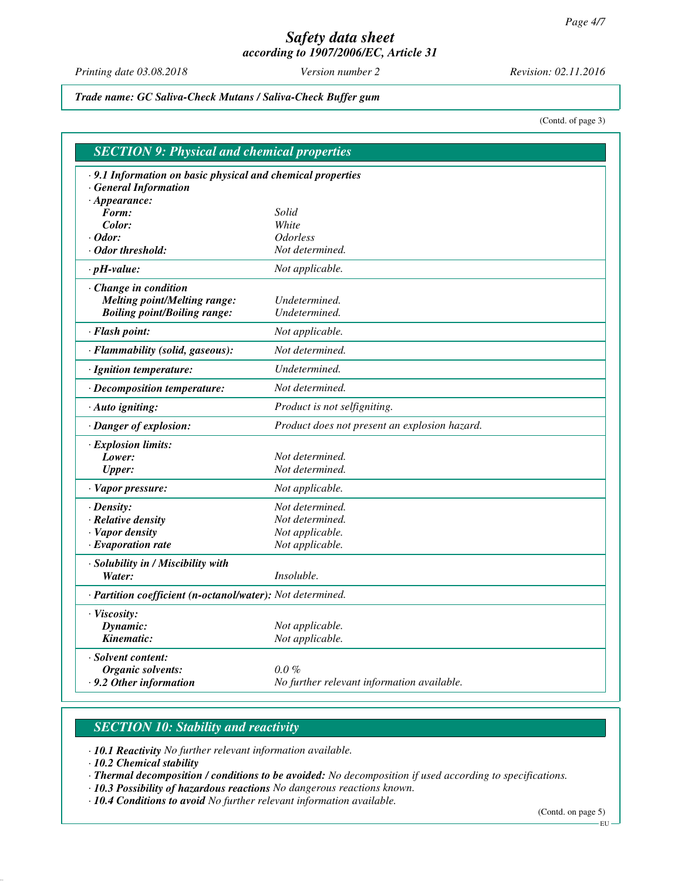*Printing date 03.08.2018 Version number 2 Revision: 02.11.2016*

*Trade name: GC Saliva-Check Mutans / Saliva-Check Buffer gum*

(Contd. of page 3)

| .9.1 Information on basic physical and chemical properties |                                               |
|------------------------------------------------------------|-----------------------------------------------|
| <b>General Information</b>                                 |                                               |
| $\cdot$ Appearance:                                        |                                               |
| Form:                                                      | Solid                                         |
| Color:                                                     | White                                         |
| $\cdot$ Odor:                                              | <i><b>Odorless</b></i>                        |
| · Odor threshold:                                          | Not determined.                               |
| $\cdot$ pH-value:                                          | Not applicable.                               |
| $\cdot$ Change in condition                                |                                               |
| <b>Melting point/Melting range:</b>                        | Undetermined.                                 |
| <b>Boiling point/Boiling range:</b>                        | Undetermined.                                 |
| · Flash point:                                             | Not applicable.                               |
| · Flammability (solid, gaseous):                           | Not determined.                               |
| · Ignition temperature:                                    | Undetermined.                                 |
| · Decomposition temperature:                               | Not determined.                               |
| · Auto igniting:                                           | Product is not selfigniting.                  |
| · Danger of explosion:                                     | Product does not present an explosion hazard. |
| · Explosion limits:                                        |                                               |
| Lower:                                                     | Not determined.                               |
| <b>Upper:</b>                                              | Not determined.                               |
| · Vapor pressure:                                          | Not applicable.                               |
| $\cdot$ Density:                                           | Not determined.                               |
| · Relative density                                         | Not determined.                               |
| · Vapor density                                            | Not applicable.                               |
| $\cdot$ Evaporation rate                                   | Not applicable.                               |
| · Solubility in / Miscibility with                         |                                               |
| Water:                                                     | Insoluble.                                    |
| · Partition coefficient (n-octanol/water): Not determined. |                                               |
| · Viscosity:                                               |                                               |
| Dynamic:                                                   | Not applicable.                               |
| Kinematic:                                                 | Not applicable.                               |
| · Solvent content:                                         |                                               |
| Organic solvents:                                          | $0.0\%$                                       |
| $\cdot$ 9.2 Other information                              | No further relevant information available.    |

# *SECTION 10: Stability and reactivity*

*· 10.1 Reactivity No further relevant information available.*

*· 10.2 Chemical stability*

*· Thermal decomposition / conditions to be avoided: No decomposition if used according to specifications.*

*· 10.3 Possibility of hazardous reactions No dangerous reactions known.*

*· 10.4 Conditions to avoid No further relevant information available.*

(Contd. on page 5)

EU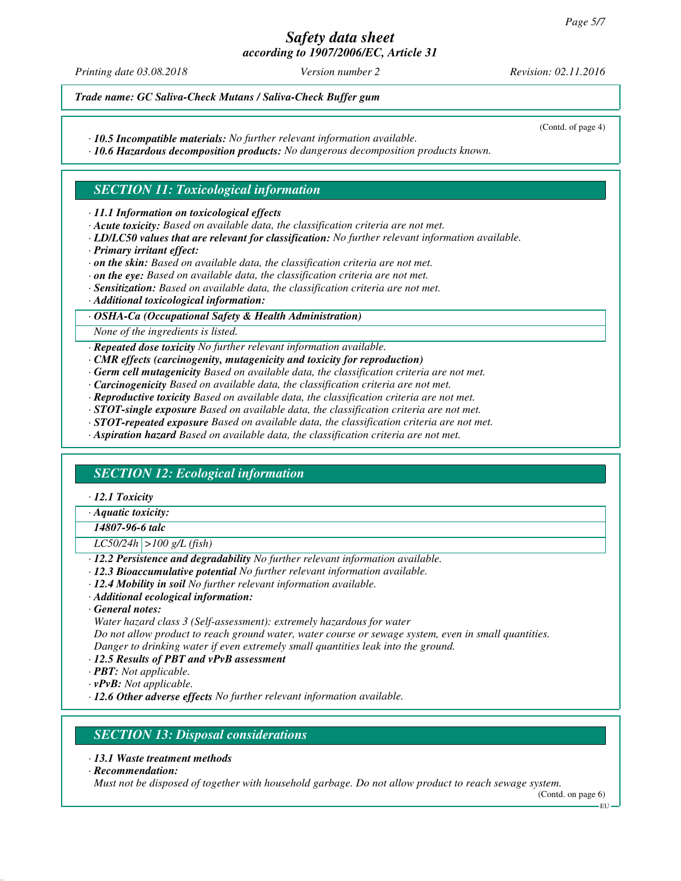*Printing date 03.08.2018 Version number 2 Revision: 02.11.2016*

(Contd. of page 4)

*Trade name: GC Saliva-Check Mutans / Saliva-Check Buffer gum*

*· 10.5 Incompatible materials: No further relevant information available.*

*· 10.6 Hazardous decomposition products: No dangerous decomposition products known.*

## *SECTION 11: Toxicological information*

*· 11.1 Information on toxicological effects*

- *· Acute toxicity: Based on available data, the classification criteria are not met.*
- *· LD/LC50 values that are relevant for classification: No further relevant information available.*
- *· Primary irritant effect:*
- *· on the skin: Based on available data, the classification criteria are not met.*
- *· on the eye: Based on available data, the classification criteria are not met.*
- *· Sensitization: Based on available data, the classification criteria are not met.*
- *· Additional toxicological information:*

*· OSHA-Ca (Occupational Safety & Health Administration)*

*None of the ingredients is listed.*

*· Repeated dose toxicity No further relevant information available.*

- *· CMR effects (carcinogenity, mutagenicity and toxicity for reproduction)*
- *· Germ cell mutagenicity Based on available data, the classification criteria are not met.*
- *· Carcinogenicity Based on available data, the classification criteria are not met.*
- *· Reproductive toxicity Based on available data, the classification criteria are not met.*
- *· STOT-single exposure Based on available data, the classification criteria are not met.*
- *· STOT-repeated exposure Based on available data, the classification criteria are not met.*
- *· Aspiration hazard Based on available data, the classification criteria are not met.*

# *SECTION 12: Ecological information*

*· 12.1 Toxicity*

*· Aquatic toxicity:*

*14807-96-6 talc*

*LC50/24h >100 g/L (fish)*

- *· 12.2 Persistence and degradability No further relevant information available.*
- *· 12.3 Bioaccumulative potential No further relevant information available.*
- *· 12.4 Mobility in soil No further relevant information available.*
- *· Additional ecological information:*

*· General notes:*

*Water hazard class 3 (Self-assessment): extremely hazardous for water*

*Do not allow product to reach ground water, water course or sewage system, even in small quantities. Danger to drinking water if even extremely small quantities leak into the ground.*

- *· 12.5 Results of PBT and vPvB assessment*
- *· PBT: Not applicable.*
- *· vPvB: Not applicable.*
- *· 12.6 Other adverse effects No further relevant information available.*

# *SECTION 13: Disposal considerations*

- *· 13.1 Waste treatment methods*
- *· Recommendation:*

*Must not be disposed of together with household garbage. Do not allow product to reach sewage system.*

(Contd. on page 6)

EU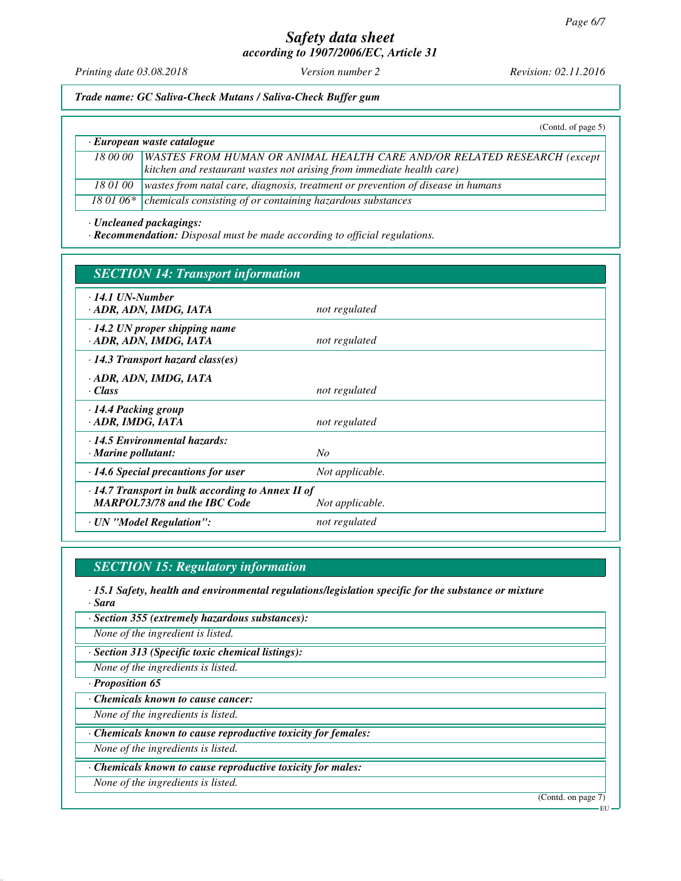# *Safety data sheet*

*according to 1907/2006/EC, Article 31*

*Printing date 03.08.2018 Version number 2 Revision: 02.11.2016*

*Trade name: GC Saliva-Check Mutans / Saliva-Check Buffer gum*

(Contd. of page 5)

| · European waste catalogue |                                                                                 |  |
|----------------------------|---------------------------------------------------------------------------------|--|
| 18 00 00                   | <b>WASTES FROM HUMAN OR ANIMAL HEALTH CARE AND/OR RELATED RESEARCH (except</b>  |  |
|                            | kitchen and restaurant wastes not arising from immediate health care)           |  |
| 18 01 00                   | wastes from natal care, diagnosis, treatment or prevention of disease in humans |  |
| --------                   |                                                                                 |  |

18 01 06\* *chemicals consisting of or containing hazardous substances* 

*· Uncleaned packagings:*

*· Recommendation: Disposal must be made according to official regulations.*

| <b>SECTION 14: Transport information</b>                                                       |                 |  |
|------------------------------------------------------------------------------------------------|-----------------|--|
| $\cdot$ 14.1 UN-Number<br>· ADR, ADN, IMDG, IATA                                               | not regulated   |  |
| $\cdot$ 14.2 UN proper shipping name<br>· ADR, ADN, IMDG, IATA                                 | not regulated   |  |
| $\cdot$ 14.3 Transport hazard class(es)                                                        |                 |  |
| · ADR, ADN, IMDG, IATA<br>· Class                                                              | not regulated   |  |
| 14.4 Packing group<br>· ADR, IMDG, IATA                                                        | not regulated   |  |
| $\cdot$ 14.5 Environmental hazards:<br>$\cdot$ Marine pollutant:                               | No              |  |
| $\cdot$ 14.6 Special precautions for user                                                      | Not applicable. |  |
| $\cdot$ 14.7 Transport in bulk according to Annex II of<br><b>MARPOL73/78 and the IBC Code</b> | Not applicable. |  |
| · UN "Model Regulation":                                                                       | not regulated   |  |

# *SECTION 15: Regulatory information*

*· 15.1 Safety, health and environmental regulations/legislation specific for the substance or mixture · Sara*

*· Section 355 (extremely hazardous substances):*

*None of the ingredient is listed.*

*· Section 313 (Specific toxic chemical listings):*

*None of the ingredients is listed.*

*· Proposition 65*

*· Chemicals known to cause cancer:*

*None of the ingredients is listed.*

*· Chemicals known to cause reproductive toxicity for females:*

*None of the ingredients is listed.*

*· Chemicals known to cause reproductive toxicity for males:*

*None of the ingredients is listed.*

(Contd. on page 7)

EU